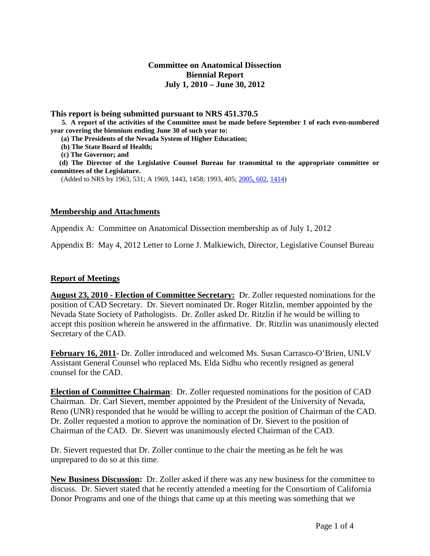## **Committee on Anatomical Dissection Biennial Report July 1, 2010 – June 30, 2012**

**This report is being submitted pursuant to NRS 451.370.5 5. A report of the activities of the Committee must be made before September 1 of each even-numbered year covering the biennium ending June 30 of such year to:**

 **(a) The Presidents of the Nevada System of Higher Education;**

 **(b) The State Board of Health;**

 **(c) The Governor; and**

 **(d) The Director of the Legislative Counsel Bureau for transmittal to the appropriate committee or committees of the Legislature.**

(Added to NRS by 1963, 531; A 1969, 1443, 1458; 1993, 405; 2005, 602, 1414)

#### **Membership and Attachments**

Appendix A: Committee on Anatomical Dissection membership as of July 1, 2012

Appendix B: May 4, 2012 Letter to Lorne J. Malkiewich, Director, Legislative Counsel Bureau

### **Report of Meetings**

**August 23, 2010 - Election of Committee Secretary:** Dr. Zoller requested nominations for the position of CAD Secretary. Dr. Sievert nominated Dr. Roger Ritzlin, member appointed by the Nevada State Society of Pathologists. Dr. Zoller asked Dr. Ritzlin if he would be willing to accept this position wherein he answered in the affirmative. Dr. Ritzlin was unanimously elected Secretary of the CAD.

**February 16, 2011-** Dr. Zoller introduced and welcomed Ms. Susan Carrasco-O'Brien, UNLV Assistant General Counsel who replaced Ms. Elda Sidhu who recently resigned as general counsel for the CAD.

**Election of Committee Chairman**: Dr. Zoller requested nominations for the position of CAD Chairman. Dr. Carl Sievert, member appointed by the President of the University of Nevada, Reno (UNR) responded that he would be willing to accept the position of Chairman of the CAD. Dr. Zoller requested a motion to approve the nomination of Dr. Sievert to the position of Chairman of the CAD. Dr. Sievert was unanimously elected Chairman of the CAD.

Dr. Sievert requested that Dr. Zoller continue to the chair the meeting as he felt he was unprepared to do so at this time.

**New Business Discussion:** Dr. Zoller asked if there was any new business for the committee to discuss. Dr. Sievert stated that he recently attended a meeting for the Consortium of California Donor Programs and one of the things that came up at this meeting was something that we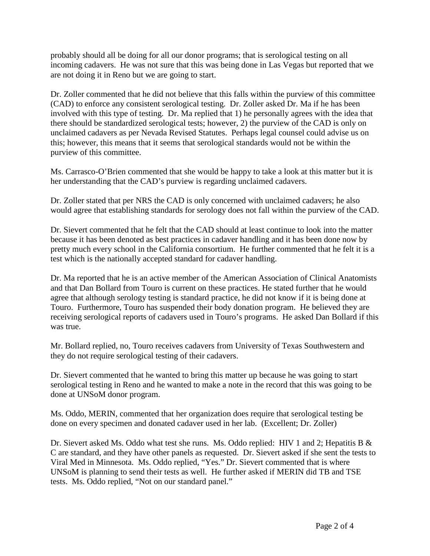probably should all be doing for all our donor programs; that is serological testing on all incoming cadavers. He was not sure that this was being done in Las Vegas but reported that we are not doing it in Reno but we are going to start.

Dr. Zoller commented that he did not believe that this falls within the purview of this committee (CAD) to enforce any consistent serological testing. Dr. Zoller asked Dr. Ma if he has been involved with this type of testing. Dr. Ma replied that 1) he personally agrees with the idea that there should be standardized serological tests; however, 2) the purview of the CAD is only on unclaimed cadavers as per Nevada Revised Statutes. Perhaps legal counsel could advise us on this; however, this means that it seems that serological standards would not be within the purview of this committee.

Ms. Carrasco-O'Brien commented that she would be happy to take a look at this matter but it is her understanding that the CAD's purview is regarding unclaimed cadavers.

Dr. Zoller stated that per NRS the CAD is only concerned with unclaimed cadavers; he also would agree that establishing standards for serology does not fall within the purview of the CAD.

Dr. Sievert commented that he felt that the CAD should at least continue to look into the matter because it has been denoted as best practices in cadaver handling and it has been done now by pretty much every school in the California consortium. He further commented that he felt it is a test which is the nationally accepted standard for cadaver handling.

Dr. Ma reported that he is an active member of the American Association of Clinical Anatomists and that Dan Bollard from Touro is current on these practices. He stated further that he would agree that although serology testing is standard practice, he did not know if it is being done at Touro. Furthermore, Touro has suspended their body donation program. He believed they are receiving serological reports of cadavers used in Touro's programs. He asked Dan Bollard if this was true.

Mr. Bollard replied, no, Touro receives cadavers from University of Texas Southwestern and they do not require serological testing of their cadavers.

Dr. Sievert commented that he wanted to bring this matter up because he was going to start serological testing in Reno and he wanted to make a note in the record that this was going to be done at UNSoM donor program.

Ms. Oddo, MERIN, commented that her organization does require that serological testing be done on every specimen and donated cadaver used in her lab. (Excellent; Dr. Zoller)

Dr. Sievert asked Ms. Oddo what test she runs. Ms. Oddo replied: HIV 1 and 2; Hepatitis B & C are standard, and they have other panels as requested. Dr. Sievert asked if she sent the tests to Viral Med in Minnesota. Ms. Oddo replied, "Yes." Dr. Sievert commented that is where UNSoM is planning to send their tests as well. He further asked if MERIN did TB and TSE tests. Ms. Oddo replied, "Not on our standard panel."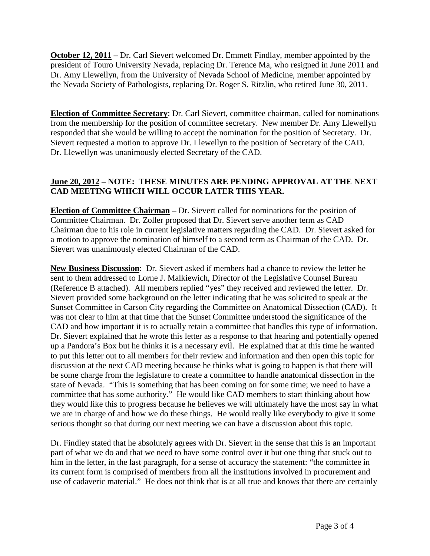**October 12, 2011** – Dr. Carl Sievert welcomed Dr. Emmett Findlay, member appointed by the president of Touro University Nevada, replacing Dr. Terence Ma, who resigned in June 2011 and Dr. Amy Llewellyn, from the University of Nevada School of Medicine, member appointed by the Nevada Society of Pathologists, replacing Dr. Roger S. Ritzlin, who retired June 30, 2011.

**Election of Committee Secretary**: Dr. Carl Sievert, committee chairman, called for nominations from the membership for the position of committee secretary. New member Dr. Amy Llewellyn responded that she would be willing to accept the nomination for the position of Secretary. Dr. Sievert requested a motion to approve Dr. Llewellyn to the position of Secretary of the CAD. Dr. Llewellyn was unanimously elected Secretary of the CAD.

# **June 20, 2012 – NOTE: THESE MINUTES ARE PENDING APPROVAL AT THE NEXT CAD MEETING WHICH WILL OCCUR LATER THIS YEAR.**

**Election of Committee Chairman –** Dr. Sievert called for nominations for the position of Committee Chairman. Dr. Zoller proposed that Dr. Sievert serve another term as CAD Chairman due to his role in current legislative matters regarding the CAD. Dr. Sievert asked for a motion to approve the nomination of himself to a second term as Chairman of the CAD. Dr. Sievert was unanimously elected Chairman of the CAD.

**New Business Discussion**: Dr. Sievert asked if members had a chance to review the letter he sent to them addressed to Lorne J. Malkiewich, Director of the Legislative Counsel Bureau (Reference B attached). All members replied "yes" they received and reviewed the letter. Dr. Sievert provided some background on the letter indicating that he was solicited to speak at the Sunset Committee in Carson City regarding the Committee on Anatomical Dissection (CAD). It was not clear to him at that time that the Sunset Committee understood the significance of the CAD and how important it is to actually retain a committee that handles this type of information. Dr. Sievert explained that he wrote this letter as a response to that hearing and potentially opened up a Pandora's Box but he thinks it is a necessary evil. He explained that at this time he wanted to put this letter out to all members for their review and information and then open this topic for discussion at the next CAD meeting because he thinks what is going to happen is that there will be some charge from the legislature to create a committee to handle anatomical dissection in the state of Nevada. "This is something that has been coming on for some time; we need to have a committee that has some authority." He would like CAD members to start thinking about how they would like this to progress because he believes we will ultimately have the most say in what we are in charge of and how we do these things. He would really like everybody to give it some serious thought so that during our next meeting we can have a discussion about this topic.

Dr. Findley stated that he absolutely agrees with Dr. Sievert in the sense that this is an important part of what we do and that we need to have some control over it but one thing that stuck out to him in the letter, in the last paragraph, for a sense of accuracy the statement: "the committee in its current form is comprised of members from all the institutions involved in procurement and use of cadaveric material." He does not think that is at all true and knows that there are certainly